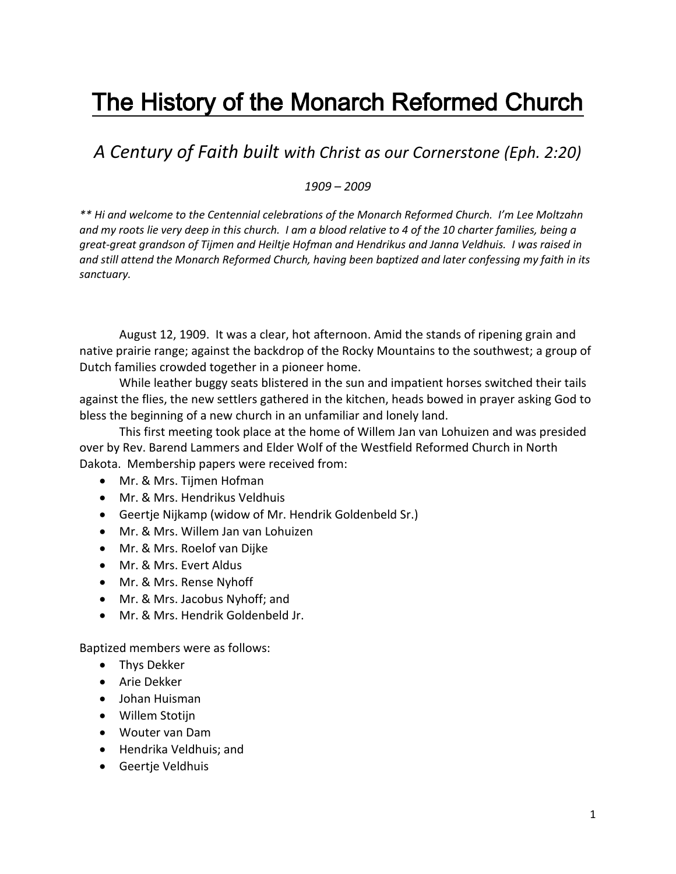## The History of the Monarch Reformed Church

*A Century of Faith built with Christ as our Cornerstone (Eph. 2:20)*

*1909 – 2009*

*\*\* Hi and welcome to the Centennial celebrations of the Monarch Reformed Church. I'm Lee Moltzahn and my roots lie very deep in this church. I am a blood relative to 4 of the 10 charter families, being a great-great grandson of Tijmen and Heiltje Hofman and Hendrikus and Janna Veldhuis. I was raised in and still attend the Monarch Reformed Church, having been baptized and later confessing my faith in its sanctuary.*

August 12, 1909. It was a clear, hot afternoon. Amid the stands of ripening grain and native prairie range; against the backdrop of the Rocky Mountains to the southwest; a group of Dutch families crowded together in a pioneer home.

While leather buggy seats blistered in the sun and impatient horses switched their tails against the flies, the new settlers gathered in the kitchen, heads bowed in prayer asking God to bless the beginning of a new church in an unfamiliar and lonely land.

This first meeting took place at the home of Willem Jan van Lohuizen and was presided over by Rev. Barend Lammers and Elder Wolf of the Westfield Reformed Church in North Dakota. Membership papers were received from:

- Mr. & Mrs. Tijmen Hofman
- Mr. & Mrs. Hendrikus Veldhuis
- Geertje Nijkamp (widow of Mr. Hendrik Goldenbeld Sr.)
- Mr. & Mrs. Willem Jan van Lohuizen
- Mr. & Mrs. Roelof van Dijke
- Mr. & Mrs. Evert Aldus
- Mr. & Mrs. Rense Nyhoff
- Mr. & Mrs. Jacobus Nyhoff; and
- Mr. & Mrs. Hendrik Goldenbeld Jr.

Baptized members were as follows:

- Thys Dekker
- **•** Arie Dekker
- Johan Huisman
- Willem Stotijn
- Wouter van Dam
- Hendrika Veldhuis; and
- Geertje Veldhuis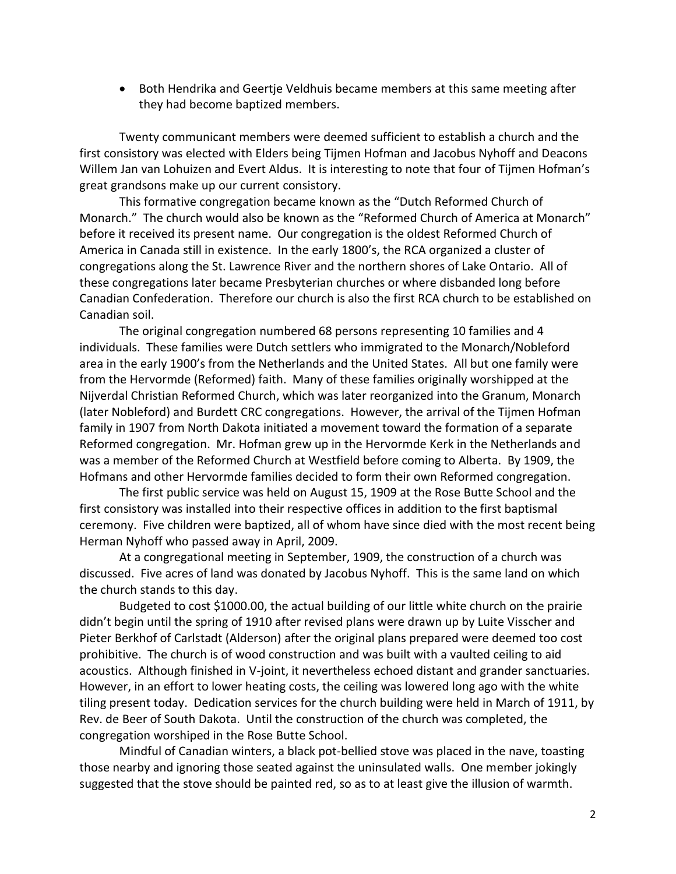Both Hendrika and Geertje Veldhuis became members at this same meeting after they had become baptized members.

Twenty communicant members were deemed sufficient to establish a church and the first consistory was elected with Elders being Tijmen Hofman and Jacobus Nyhoff and Deacons Willem Jan van Lohuizen and Evert Aldus. It is interesting to note that four of Tijmen Hofman's great grandsons make up our current consistory.

This formative congregation became known as the "Dutch Reformed Church of Monarch." The church would also be known as the "Reformed Church of America at Monarch" before it received its present name. Our congregation is the oldest Reformed Church of America in Canada still in existence. In the early 1800's, the RCA organized a cluster of congregations along the St. Lawrence River and the northern shores of Lake Ontario. All of these congregations later became Presbyterian churches or where disbanded long before Canadian Confederation. Therefore our church is also the first RCA church to be established on Canadian soil.

The original congregation numbered 68 persons representing 10 families and 4 individuals. These families were Dutch settlers who immigrated to the Monarch/Nobleford area in the early 1900's from the Netherlands and the United States. All but one family were from the Hervormde (Reformed) faith. Many of these families originally worshipped at the Nijverdal Christian Reformed Church, which was later reorganized into the Granum, Monarch (later Nobleford) and Burdett CRC congregations. However, the arrival of the Tijmen Hofman family in 1907 from North Dakota initiated a movement toward the formation of a separate Reformed congregation. Mr. Hofman grew up in the Hervormde Kerk in the Netherlands and was a member of the Reformed Church at Westfield before coming to Alberta. By 1909, the Hofmans and other Hervormde families decided to form their own Reformed congregation.

The first public service was held on August 15, 1909 at the Rose Butte School and the first consistory was installed into their respective offices in addition to the first baptismal ceremony. Five children were baptized, all of whom have since died with the most recent being Herman Nyhoff who passed away in April, 2009.

At a congregational meeting in September, 1909, the construction of a church was discussed. Five acres of land was donated by Jacobus Nyhoff. This is the same land on which the church stands to this day.

Budgeted to cost \$1000.00, the actual building of our little white church on the prairie didn't begin until the spring of 1910 after revised plans were drawn up by Luite Visscher and Pieter Berkhof of Carlstadt (Alderson) after the original plans prepared were deemed too cost prohibitive. The church is of wood construction and was built with a vaulted ceiling to aid acoustics. Although finished in V-joint, it nevertheless echoed distant and grander sanctuaries. However, in an effort to lower heating costs, the ceiling was lowered long ago with the white tiling present today. Dedication services for the church building were held in March of 1911, by Rev. de Beer of South Dakota. Until the construction of the church was completed, the congregation worshiped in the Rose Butte School.

Mindful of Canadian winters, a black pot-bellied stove was placed in the nave, toasting those nearby and ignoring those seated against the uninsulated walls. One member jokingly suggested that the stove should be painted red, so as to at least give the illusion of warmth.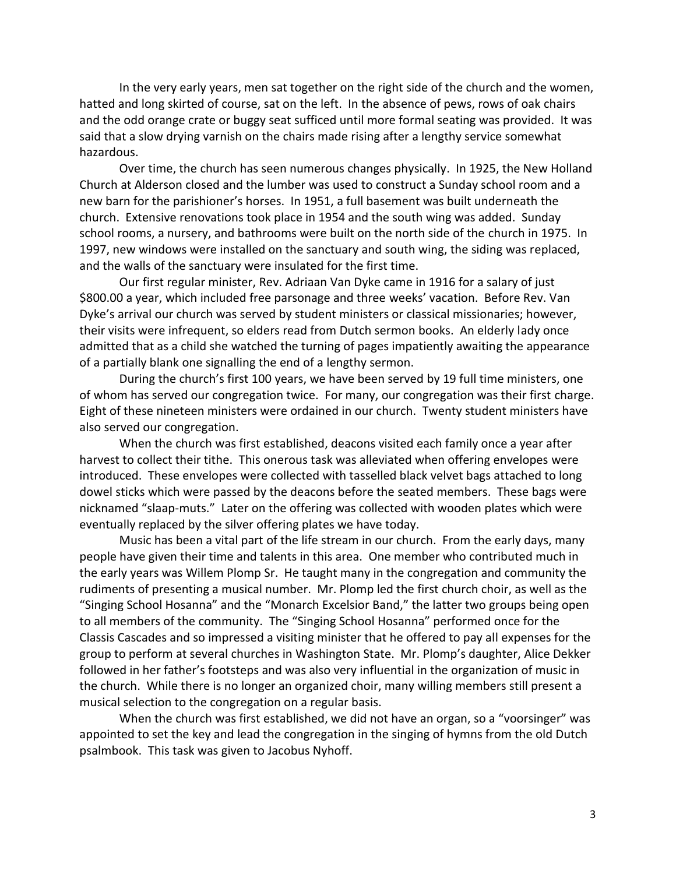In the very early years, men sat together on the right side of the church and the women, hatted and long skirted of course, sat on the left. In the absence of pews, rows of oak chairs and the odd orange crate or buggy seat sufficed until more formal seating was provided. It was said that a slow drying varnish on the chairs made rising after a lengthy service somewhat hazardous.

Over time, the church has seen numerous changes physically. In 1925, the New Holland Church at Alderson closed and the lumber was used to construct a Sunday school room and a new barn for the parishioner's horses. In 1951, a full basement was built underneath the church. Extensive renovations took place in 1954 and the south wing was added. Sunday school rooms, a nursery, and bathrooms were built on the north side of the church in 1975. In 1997, new windows were installed on the sanctuary and south wing, the siding was replaced, and the walls of the sanctuary were insulated for the first time.

Our first regular minister, Rev. Adriaan Van Dyke came in 1916 for a salary of just \$800.00 a year, which included free parsonage and three weeks' vacation. Before Rev. Van Dyke's arrival our church was served by student ministers or classical missionaries; however, their visits were infrequent, so elders read from Dutch sermon books. An elderly lady once admitted that as a child she watched the turning of pages impatiently awaiting the appearance of a partially blank one signalling the end of a lengthy sermon.

During the church's first 100 years, we have been served by 19 full time ministers, one of whom has served our congregation twice. For many, our congregation was their first charge. Eight of these nineteen ministers were ordained in our church. Twenty student ministers have also served our congregation.

When the church was first established, deacons visited each family once a year after harvest to collect their tithe. This onerous task was alleviated when offering envelopes were introduced. These envelopes were collected with tasselled black velvet bags attached to long dowel sticks which were passed by the deacons before the seated members. These bags were nicknamed "slaap-muts." Later on the offering was collected with wooden plates which were eventually replaced by the silver offering plates we have today.

Music has been a vital part of the life stream in our church. From the early days, many people have given their time and talents in this area. One member who contributed much in the early years was Willem Plomp Sr. He taught many in the congregation and community the rudiments of presenting a musical number. Mr. Plomp led the first church choir, as well as the "Singing School Hosanna" and the "Monarch Excelsior Band," the latter two groups being open to all members of the community. The "Singing School Hosanna" performed once for the Classis Cascades and so impressed a visiting minister that he offered to pay all expenses for the group to perform at several churches in Washington State. Mr. Plomp's daughter, Alice Dekker followed in her father's footsteps and was also very influential in the organization of music in the church. While there is no longer an organized choir, many willing members still present a musical selection to the congregation on a regular basis.

When the church was first established, we did not have an organ, so a "voorsinger" was appointed to set the key and lead the congregation in the singing of hymns from the old Dutch psalmbook. This task was given to Jacobus Nyhoff.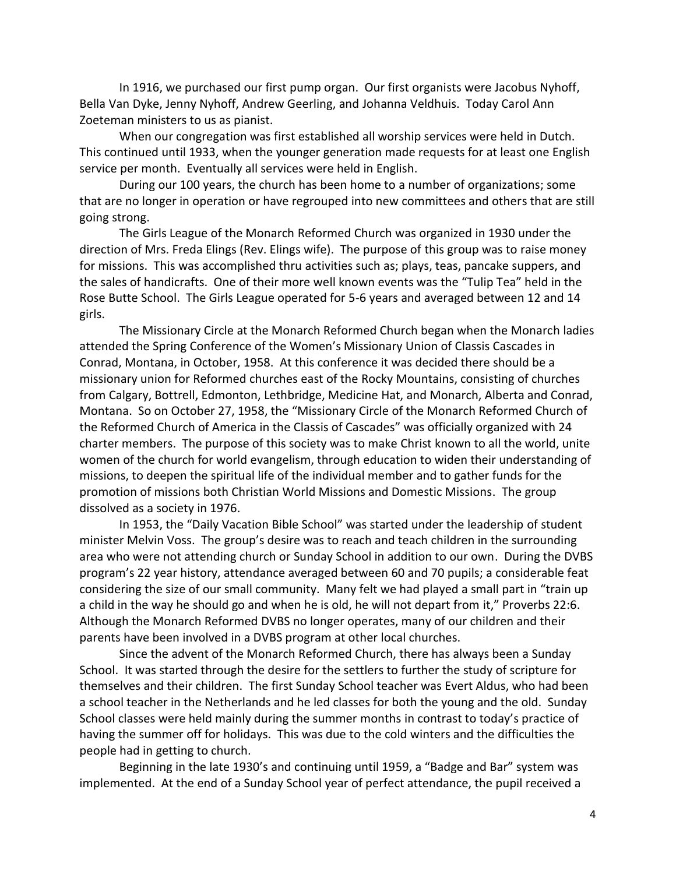In 1916, we purchased our first pump organ. Our first organists were Jacobus Nyhoff, Bella Van Dyke, Jenny Nyhoff, Andrew Geerling, and Johanna Veldhuis. Today Carol Ann Zoeteman ministers to us as pianist.

When our congregation was first established all worship services were held in Dutch. This continued until 1933, when the younger generation made requests for at least one English service per month. Eventually all services were held in English.

During our 100 years, the church has been home to a number of organizations; some that are no longer in operation or have regrouped into new committees and others that are still going strong.

The Girls League of the Monarch Reformed Church was organized in 1930 under the direction of Mrs. Freda Elings (Rev. Elings wife). The purpose of this group was to raise money for missions. This was accomplished thru activities such as; plays, teas, pancake suppers, and the sales of handicrafts. One of their more well known events was the "Tulip Tea" held in the Rose Butte School. The Girls League operated for 5-6 years and averaged between 12 and 14 girls.

The Missionary Circle at the Monarch Reformed Church began when the Monarch ladies attended the Spring Conference of the Women's Missionary Union of Classis Cascades in Conrad, Montana, in October, 1958. At this conference it was decided there should be a missionary union for Reformed churches east of the Rocky Mountains, consisting of churches from Calgary, Bottrell, Edmonton, Lethbridge, Medicine Hat, and Monarch, Alberta and Conrad, Montana. So on October 27, 1958, the "Missionary Circle of the Monarch Reformed Church of the Reformed Church of America in the Classis of Cascades" was officially organized with 24 charter members. The purpose of this society was to make Christ known to all the world, unite women of the church for world evangelism, through education to widen their understanding of missions, to deepen the spiritual life of the individual member and to gather funds for the promotion of missions both Christian World Missions and Domestic Missions. The group dissolved as a society in 1976.

In 1953, the "Daily Vacation Bible School" was started under the leadership of student minister Melvin Voss. The group's desire was to reach and teach children in the surrounding area who were not attending church or Sunday School in addition to our own. During the DVBS program's 22 year history, attendance averaged between 60 and 70 pupils; a considerable feat considering the size of our small community. Many felt we had played a small part in "train up a child in the way he should go and when he is old, he will not depart from it," Proverbs 22:6. Although the Monarch Reformed DVBS no longer operates, many of our children and their parents have been involved in a DVBS program at other local churches.

Since the advent of the Monarch Reformed Church, there has always been a Sunday School. It was started through the desire for the settlers to further the study of scripture for themselves and their children. The first Sunday School teacher was Evert Aldus, who had been a school teacher in the Netherlands and he led classes for both the young and the old. Sunday School classes were held mainly during the summer months in contrast to today's practice of having the summer off for holidays. This was due to the cold winters and the difficulties the people had in getting to church.

Beginning in the late 1930's and continuing until 1959, a "Badge and Bar" system was implemented. At the end of a Sunday School year of perfect attendance, the pupil received a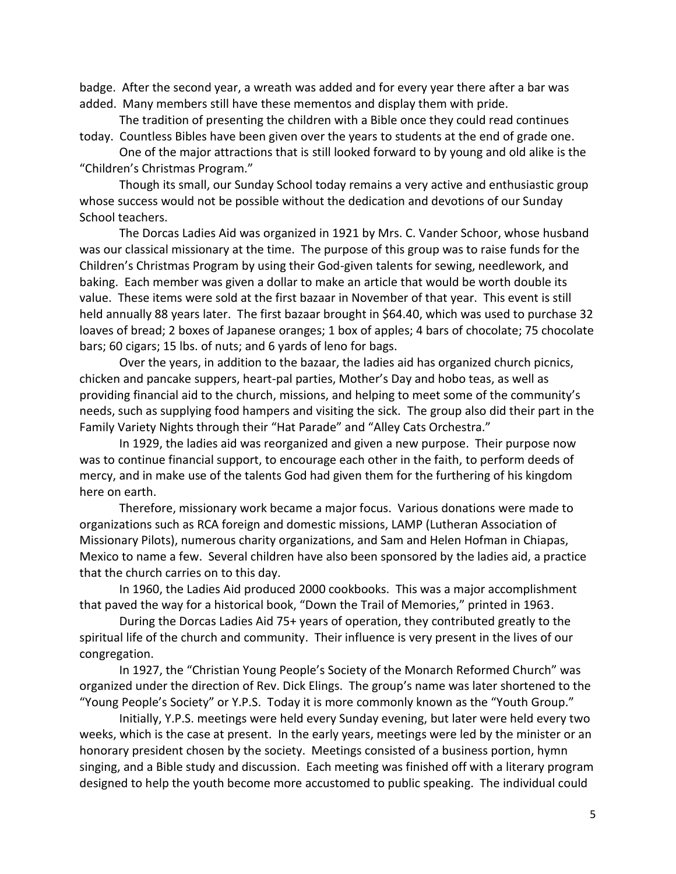badge. After the second year, a wreath was added and for every year there after a bar was added. Many members still have these mementos and display them with pride.

The tradition of presenting the children with a Bible once they could read continues today. Countless Bibles have been given over the years to students at the end of grade one.

One of the major attractions that is still looked forward to by young and old alike is the "Children's Christmas Program."

Though its small, our Sunday School today remains a very active and enthusiastic group whose success would not be possible without the dedication and devotions of our Sunday School teachers.

The Dorcas Ladies Aid was organized in 1921 by Mrs. C. Vander Schoor, whose husband was our classical missionary at the time. The purpose of this group was to raise funds for the Children's Christmas Program by using their God-given talents for sewing, needlework, and baking. Each member was given a dollar to make an article that would be worth double its value. These items were sold at the first bazaar in November of that year. This event is still held annually 88 years later. The first bazaar brought in \$64.40, which was used to purchase 32 loaves of bread; 2 boxes of Japanese oranges; 1 box of apples; 4 bars of chocolate; 75 chocolate bars; 60 cigars; 15 lbs. of nuts; and 6 yards of leno for bags.

Over the years, in addition to the bazaar, the ladies aid has organized church picnics, chicken and pancake suppers, heart-pal parties, Mother's Day and hobo teas, as well as providing financial aid to the church, missions, and helping to meet some of the community's needs, such as supplying food hampers and visiting the sick. The group also did their part in the Family Variety Nights through their "Hat Parade" and "Alley Cats Orchestra."

In 1929, the ladies aid was reorganized and given a new purpose. Their purpose now was to continue financial support, to encourage each other in the faith, to perform deeds of mercy, and in make use of the talents God had given them for the furthering of his kingdom here on earth.

Therefore, missionary work became a major focus. Various donations were made to organizations such as RCA foreign and domestic missions, LAMP (Lutheran Association of Missionary Pilots), numerous charity organizations, and Sam and Helen Hofman in Chiapas, Mexico to name a few. Several children have also been sponsored by the ladies aid, a practice that the church carries on to this day.

In 1960, the Ladies Aid produced 2000 cookbooks. This was a major accomplishment that paved the way for a historical book, "Down the Trail of Memories," printed in 1963.

During the Dorcas Ladies Aid 75+ years of operation, they contributed greatly to the spiritual life of the church and community. Their influence is very present in the lives of our congregation.

In 1927, the "Christian Young People's Society of the Monarch Reformed Church" was organized under the direction of Rev. Dick Elings. The group's name was later shortened to the "Young People's Society" or Y.P.S. Today it is more commonly known as the "Youth Group."

Initially, Y.P.S. meetings were held every Sunday evening, but later were held every two weeks, which is the case at present. In the early years, meetings were led by the minister or an honorary president chosen by the society. Meetings consisted of a business portion, hymn singing, and a Bible study and discussion. Each meeting was finished off with a literary program designed to help the youth become more accustomed to public speaking. The individual could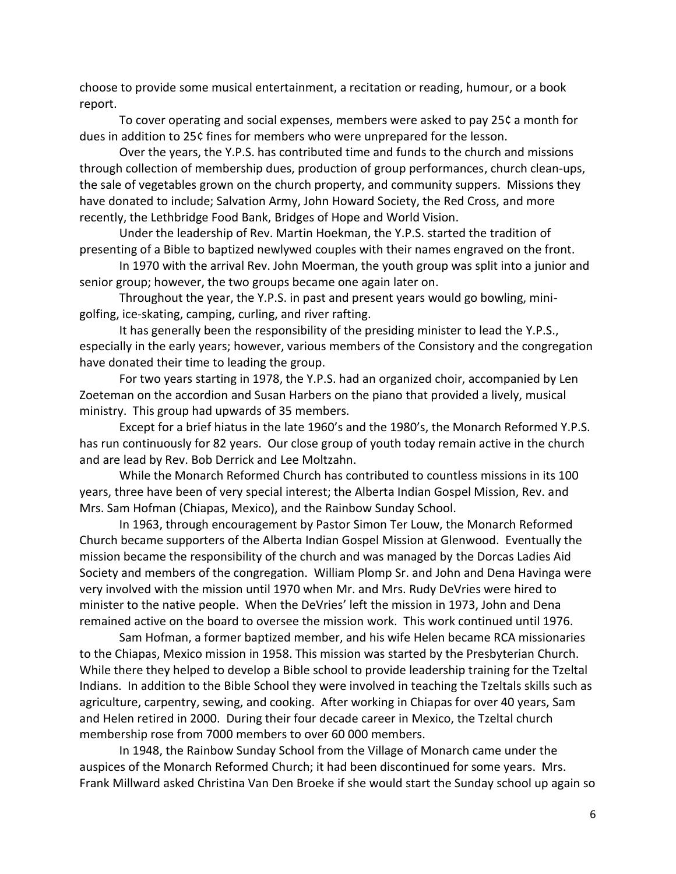choose to provide some musical entertainment, a recitation or reading, humour, or a book report.

To cover operating and social expenses, members were asked to pay 25¢ a month for dues in addition to 25¢ fines for members who were unprepared for the lesson.

Over the years, the Y.P.S. has contributed time and funds to the church and missions through collection of membership dues, production of group performances, church clean-ups, the sale of vegetables grown on the church property, and community suppers. Missions they have donated to include; Salvation Army, John Howard Society, the Red Cross, and more recently, the Lethbridge Food Bank, Bridges of Hope and World Vision.

Under the leadership of Rev. Martin Hoekman, the Y.P.S. started the tradition of presenting of a Bible to baptized newlywed couples with their names engraved on the front.

In 1970 with the arrival Rev. John Moerman, the youth group was split into a junior and senior group; however, the two groups became one again later on.

Throughout the year, the Y.P.S. in past and present years would go bowling, minigolfing, ice-skating, camping, curling, and river rafting.

It has generally been the responsibility of the presiding minister to lead the Y.P.S., especially in the early years; however, various members of the Consistory and the congregation have donated their time to leading the group.

For two years starting in 1978, the Y.P.S. had an organized choir, accompanied by Len Zoeteman on the accordion and Susan Harbers on the piano that provided a lively, musical ministry. This group had upwards of 35 members.

Except for a brief hiatus in the late 1960's and the 1980's, the Monarch Reformed Y.P.S. has run continuously for 82 years. Our close group of youth today remain active in the church and are lead by Rev. Bob Derrick and Lee Moltzahn.

While the Monarch Reformed Church has contributed to countless missions in its 100 years, three have been of very special interest; the Alberta Indian Gospel Mission, Rev. and Mrs. Sam Hofman (Chiapas, Mexico), and the Rainbow Sunday School.

In 1963, through encouragement by Pastor Simon Ter Louw, the Monarch Reformed Church became supporters of the Alberta Indian Gospel Mission at Glenwood. Eventually the mission became the responsibility of the church and was managed by the Dorcas Ladies Aid Society and members of the congregation. William Plomp Sr. and John and Dena Havinga were very involved with the mission until 1970 when Mr. and Mrs. Rudy DeVries were hired to minister to the native people. When the DeVries' left the mission in 1973, John and Dena remained active on the board to oversee the mission work. This work continued until 1976.

Sam Hofman, a former baptized member, and his wife Helen became RCA missionaries to the Chiapas, Mexico mission in 1958. This mission was started by the Presbyterian Church. While there they helped to develop a Bible school to provide leadership training for the Tzeltal Indians. In addition to the Bible School they were involved in teaching the Tzeltals skills such as agriculture, carpentry, sewing, and cooking. After working in Chiapas for over 40 years, Sam and Helen retired in 2000. During their four decade career in Mexico, the Tzeltal church membership rose from 7000 members to over 60 000 members.

In 1948, the Rainbow Sunday School from the Village of Monarch came under the auspices of the Monarch Reformed Church; it had been discontinued for some years. Mrs. Frank Millward asked Christina Van Den Broeke if she would start the Sunday school up again so